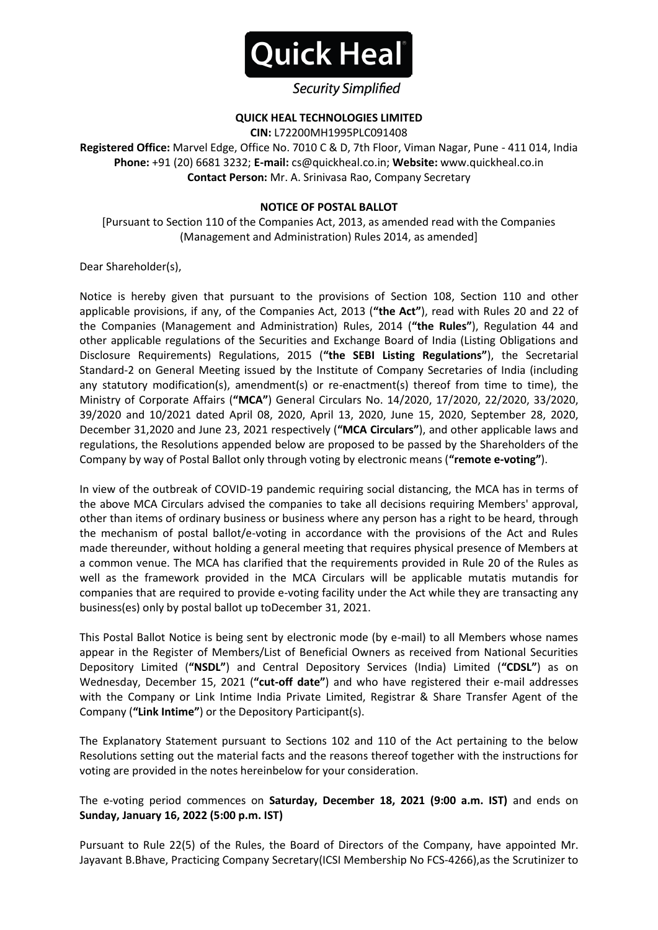

## **Security Simplified**

#### **QUICK HEAL TECHNOLOGIES LIMITED**

**CIN:** L72200MH1995PLC091408

**Registered Office:** Marvel Edge, Office No. 7010 C & D, 7th Floor, Viman Nagar, Pune - 411 014, India **Phone:** +91 (20) 6681 3232; **E-mail:** cs@quickheal.co.in; **Website:** www.quickheal.co.in **Contact Person:** Mr. A. Srinivasa Rao, Company Secretary

#### **NOTICE OF POSTAL BALLOT**

[Pursuant to Section 110 of the Companies Act, 2013, as amended read with the Companies (Management and Administration) Rules 2014, as amended]

Dear Shareholder(s),

Notice is hereby given that pursuant to the provisions of Section 108, Section 110 and other applicable provisions, if any, of the Companies Act, 2013 (**"the Act"**), read with Rules 20 and 22 of the Companies (Management and Administration) Rules, 2014 (**"the Rules"**), Regulation 44 and other applicable regulations of the Securities and Exchange Board of India (Listing Obligations and Disclosure Requirements) Regulations, 2015 (**"the SEBI Listing Regulations"**), the Secretarial Standard-2 on General Meeting issued by the Institute of Company Secretaries of India (including any statutory modification(s), amendment(s) or re-enactment(s) thereof from time to time), the Ministry of Corporate Affairs (**"MCA"**) General Circulars No. 14/2020, 17/2020, 22/2020, 33/2020, 39/2020 and 10/2021 dated April 08, 2020, April 13, 2020, June 15, 2020, September 28, 2020, December 31,2020 and June 23, 2021 respectively (**"MCA Circulars"**), and other applicable laws and regulations, the Resolutions appended below are proposed to be passed by the Shareholders of the Company by way of Postal Ballot only through voting by electronic means (**"remote e-voting"**).

In view of the outbreak of COVID-19 pandemic requiring social distancing, the MCA has in terms of the above MCA Circulars advised the companies to take all decisions requiring Members' approval, other than items of ordinary business or business where any person has a right to be heard, through the mechanism of postal ballot/e-voting in accordance with the provisions of the Act and Rules made thereunder, without holding a general meeting that requires physical presence of Members at a common venue. The MCA has clarified that the requirements provided in Rule 20 of the Rules as well as the framework provided in the MCA Circulars will be applicable mutatis mutandis for companies that are required to provide e-voting facility under the Act while they are transacting any business(es) only by postal ballot up toDecember 31, 2021.

This Postal Ballot Notice is being sent by electronic mode (by e-mail) to all Members whose names appear in the Register of Members/List of Beneficial Owners as received from National Securities Depository Limited (**"NSDL"**) and Central Depository Services (India) Limited (**"CDSL"**) as on Wednesday, December 15, 2021 (**"cut-off date"**) and who have registered their e-mail addresses with the Company or Link Intime India Private Limited, Registrar & Share Transfer Agent of the Company (**"Link Intime"**) or the Depository Participant(s).

The Explanatory Statement pursuant to Sections 102 and 110 of the Act pertaining to the below Resolutions setting out the material facts and the reasons thereof together with the instructions for voting are provided in the notes hereinbelow for your consideration.

The e-voting period commences on **Saturday, December 18, 2021 (9:00 a.m. IST)** and ends on **Sunday, January 16, 2022 (5:00 p.m. IST)**

Pursuant to Rule 22(5) of the Rules, the Board of Directors of the Company, have appointed Mr. Jayavant B.Bhave, Practicing Company Secretary(ICSI Membership No FCS-4266),as the Scrutinizer to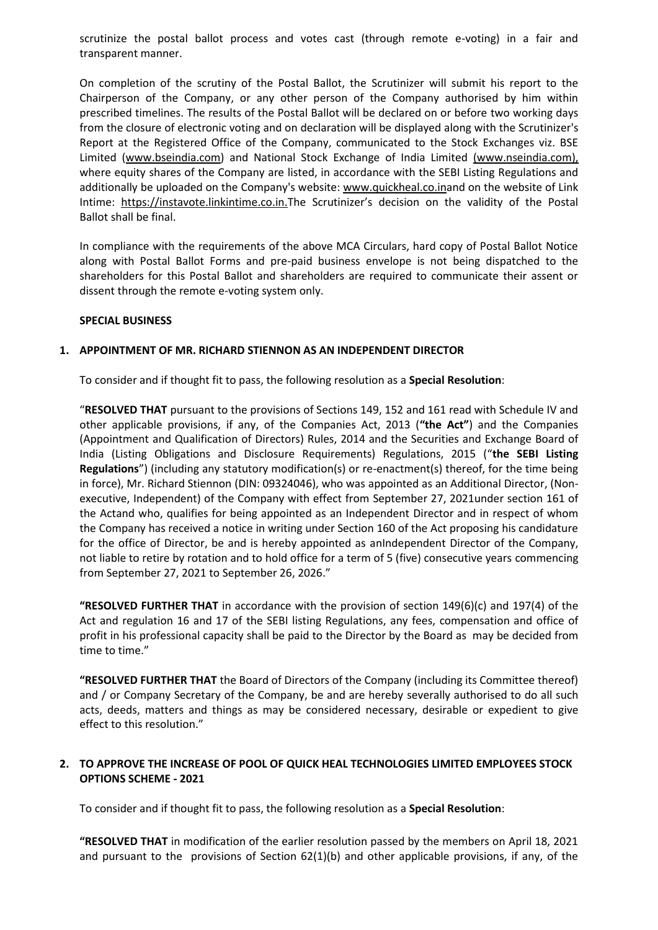scrutinize the postal ballot process and votes cast (through remote e-voting) in a fair and transparent manner.

On completion of the scrutiny of the Postal Ballot, the Scrutinizer will submit his report to the Chairperson of the Company, or any other person of the Company authorised by him within prescribed timelines. The results of the Postal Ballot will be declared on or before two working days from the closure of electronic voting and on declaration will be displayed along with the Scrutinizer's Report at the Registered Office of the Company, communicated to the Stock Exchanges viz. BSE Limited [\(www.bseindia.com\)](http://www.bseindia.com/) and National Stock Exchange of India Limited (www.nseindia.com), where equity shares of the Company are listed, in accordance with the SEBI Listing Regulations and additionally be uploaded on the Company's website: [www.quickheal.co.ina](http://www.quickheal.co.in/)nd on the website of Link Intime: [https://instavote.linkintime.co.in.](https://instavote.linkintime.co.in/)The Scrutinizer's decision on the validity of the Postal Ballot shall be final.

In compliance with the requirements of the above MCA Circulars, hard copy of Postal Ballot Notice along with Postal Ballot Forms and pre-paid business envelope is not being dispatched to the shareholders for this Postal Ballot and shareholders are required to communicate their assent or dissent through the remote e-voting system only.

#### **SPECIAL BUSINESS**

#### **1. APPOINTMENT OF MR. RICHARD STIENNON AS AN INDEPENDENT DIRECTOR**

To consider and if thought fit to pass, the following resolution as a **Special Resolution**:

"**RESOLVED THAT** pursuant to the provisions of Sections 149, 152 and 161 read with Schedule IV and other applicable provisions, if any, of the Companies Act, 2013 (**"the Act"**) and the Companies (Appointment and Qualification of Directors) Rules, 2014 and the Securities and Exchange Board of India (Listing Obligations and Disclosure Requirements) Regulations, 2015 ("**the SEBI Listing Regulations**") (including any statutory modification(s) or re-enactment(s) thereof, for the time being in force), Mr. Richard Stiennon (DIN[: 09324046\)](https://mca.gov.in/mcafoportal/companyLLPMasterData.do), who was appointed as an Additional Director, (Nonexecutive, Independent) of the Company with effect from September 27, 2021under section 161 of the Actand who, qualifies for being appointed as an Independent Director and in respect of whom the Company has received a notice in writing under Section 160 of the Act proposing his candidature for the office of Director, be and is hereby appointed as anIndependent Director of the Company, not liable to retire by rotation and to hold office for a term of 5 (five) consecutive years commencing from September 27, 2021 to September 26, 2026."

**"RESOLVED FURTHER THAT** in accordance with the provision of section 149(6)(c) and 197(4) of the Act and regulation 16 and 17 of the SEBI listing Regulations, any fees, compensation and office of profit in his professional capacity shall be paid to the Director by the Board as may be decided from time to time."

**"RESOLVED FURTHER THAT** the Board of Directors of the Company (including its Committee thereof) and / or Company Secretary of the Company, be and are hereby severally authorised to do all such acts, deeds, matters and things as may be considered necessary, desirable or expedient to give effect to this resolution."

#### **2. TO APPROVE THE INCREASE OF POOL OF QUICK HEAL TECHNOLOGIES LIMITED EMPLOYEES STOCK OPTIONS SCHEME - 2021**

To consider and if thought fit to pass, the following resolution as a **Special Resolution**:

**"RESOLVED THAT** in modification of the earlier resolution passed by the members on April 18, 2021 and pursuant to the provisions of Section 62(1)(b) and other applicable provisions, if any, of the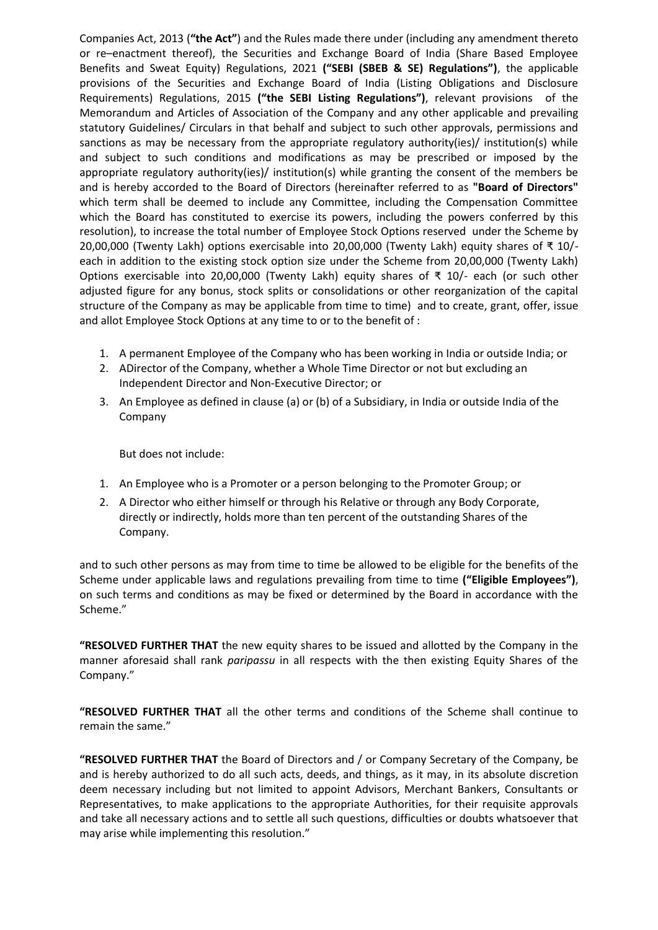Companies Act, 2013 (**"the Act"**) and the Rules made there under (including any amendment thereto or re–enactment thereof), the Securities and Exchange Board of India (Share Based Employee Benefits and Sweat Equity) Regulations, 2021 **("SEBI (SBEB & SE) Regulations")**, the applicable provisions of the Securities and Exchange Board of India (Listing Obligations and Disclosure Requirements) Regulations, 2015 **("the SEBI Listing Regulations")**, relevant provisions of the Memorandum and Articles of Association of the Company and any other applicable and prevailing statutory Guidelines/ Circulars in that behalf and subject to such other approvals, permissions and sanctions as may be necessary from the appropriate regulatory authority(ies)/ institution(s) while and subject to such conditions and modifications as may be prescribed or imposed by the appropriate regulatory authority(ies)/ institution(s) while granting the consent of the members be and is hereby accorded to the Board of Directors (hereinafter referred to as **"Board of Directors"** which term shall be deemed to include any Committee, including the Compensation Committee which the Board has constituted to exercise its powers, including the powers conferred by this resolution), to increase the total number of Employee Stock Options reserved under the Scheme by 20,00,000 (Twenty Lakh) options exercisable into 20,00,000 (Twenty Lakh) equity shares of ₹ 10/ each in addition to the existing stock option size under the Scheme from 20,00,000 (Twenty Lakh) Options exercisable into 20,00,000 (Twenty Lakh) equity shares of ₹ 10/- each (or such other adjusted figure for any bonus, stock splits or consolidations or other reorganization of the capital structure of the Company as may be applicable from time to time) and to create, grant, offer, issue and allot Employee Stock Options at any time to or to the benefit of :

- 1. A permanent Employee of the Company who has been working in India or outside India; or
- 2. ADirector of the Company, whether a Whole Time Director or not but excluding an Independent Director and Non-Executive Director; or
- 3. An Employee as defined in clause (a) or (b) of a Subsidiary, in India or outside India of the Company

But does not include:

- 1. An Employee who is a Promoter or a person belonging to the Promoter Group; or
- 2. A Director who either himself or through his Relative or through any Body Corporate, directly or indirectly, holds more than ten percent of the outstanding Shares of the Company.

and to such other persons as may from time to time be allowed to be eligible for the benefits of the Scheme under applicable laws and regulations prevailing from time to time **("Eligible Employees")**, on such terms and conditions as may be fixed or determined by the Board in accordance with the Scheme."

**"RESOLVED FURTHER THAT** the new equity shares to be issued and allotted by the Company in the manner aforesaid shall rank *paripassu* in all respects with the then existing Equity Shares of the Company."

**"RESOLVED FURTHER THAT** all the other terms and conditions of the Scheme shall continue to remain the same."

**"RESOLVED FURTHER THAT** the Board of Directors and / or Company Secretary of the Company, be and is hereby authorized to do all such acts, deeds, and things, as it may, in its absolute discretion deem necessary including but not limited to appoint Advisors, Merchant Bankers, Consultants or Representatives, to make applications to the appropriate Authorities, for their requisite approvals and take all necessary actions and to settle all such questions, difficulties or doubts whatsoever that may arise while implementing this resolution."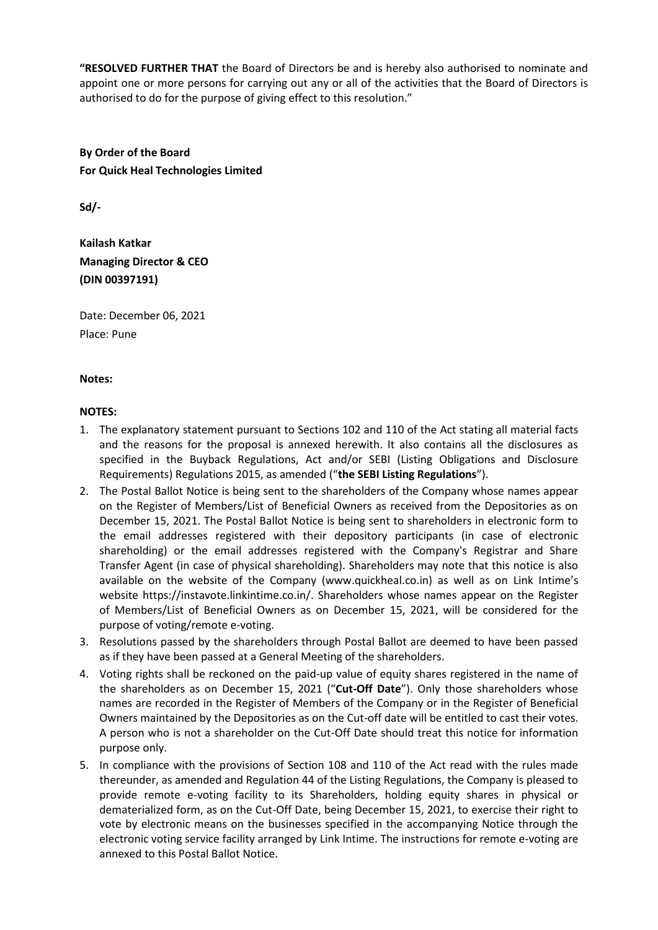**"RESOLVED FURTHER THAT** the Board of Directors be and is hereby also authorised to nominate and appoint one or more persons for carrying out any or all of the activities that the Board of Directors is authorised to do for the purpose of giving effect to this resolution."

**By Order of the Board For Quick Heal Technologies Limited**

**Sd/-**

**Kailash Katkar Managing Director & CEO (DIN 00397191)**

Date: December 06, 2021 Place: Pune

#### **Notes:**

#### **NOTES:**

- 1. The explanatory statement pursuant to Sections 102 and 110 of the Act stating all material facts and the reasons for the proposal is annexed herewith. It also contains all the disclosures as specified in the Buyback Regulations, Act and/or SEBI (Listing Obligations and Disclosure Requirements) Regulations 2015, as amended ("**the SEBI Listing Regulations**").
- 2. The Postal Ballot Notice is being sent to the shareholders of the Company whose names appear on the Register of Members/List of Beneficial Owners as received from the Depositories as on December 15, 2021. The Postal Ballot Notice is being sent to shareholders in electronic form to the email addresses registered with their depository participants (in case of electronic shareholding) or the email addresses registered with the Company's Registrar and Share Transfer Agent (in case of physical shareholding). Shareholders may note that this notice is also available on the website of the Company (www.quickheal.co.in) as well as on Link Intime's website https://instavote.linkintime.co.in/. Shareholders whose names appear on the Register of Members/List of Beneficial Owners as on December 15, 2021, will be considered for the purpose of voting/remote e-voting.
- 3. Resolutions passed by the shareholders through Postal Ballot are deemed to have been passed as if they have been passed at a General Meeting of the shareholders.
- 4. Voting rights shall be reckoned on the paid-up value of equity shares registered in the name of the shareholders as on December 15, 2021 ("**Cut-Off Date**"). Only those shareholders whose names are recorded in the Register of Members of the Company or in the Register of Beneficial Owners maintained by the Depositories as on the Cut-off date will be entitled to cast their votes. A person who is not a shareholder on the Cut-Off Date should treat this notice for information purpose only.
- 5. In compliance with the provisions of Section 108 and 110 of the Act read with the rules made thereunder, as amended and Regulation 44 of the Listing Regulations, the Company is pleased to provide remote e-voting facility to its Shareholders, holding equity shares in physical or dematerialized form, as on the Cut-Off Date, being December 15, 2021, to exercise their right to vote by electronic means on the businesses specified in the accompanying Notice through the electronic voting service facility arranged by Link Intime. The instructions for remote e-voting are annexed to this Postal Ballot Notice.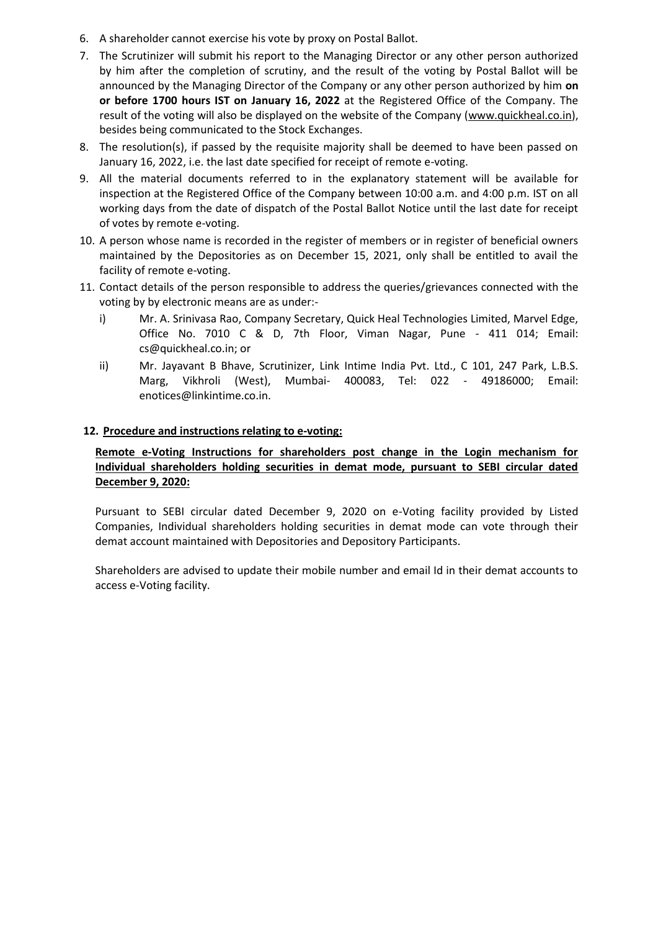- 6. A shareholder cannot exercise his vote by proxy on Postal Ballot.
- 7. The Scrutinizer will submit his report to the Managing Director or any other person authorized by him after the completion of scrutiny, and the result of the voting by Postal Ballot will be announced by the Managing Director of the Company or any other person authorized by him **on or before 1700 hours IST on January 16, 2022** at the Registered Office of the Company. The result of the voting will also be displayed on the website of the Company (www.quickheal.co.in), besides being communicated to the Stock Exchanges.
- 8. The resolution(s), if passed by the requisite majority shall be deemed to have been passed on January 16, 2022, i.e. the last date specified for receipt of remote e-voting.
- 9. All the material documents referred to in the explanatory statement will be available for inspection at the Registered Office of the Company between 10:00 a.m. and 4:00 p.m. IST on all working days from the date of dispatch of the Postal Ballot Notice until the last date for receipt of votes by remote e-voting.
- 10. A person whose name is recorded in the register of members or in register of beneficial owners maintained by the Depositories as on December 15, 2021, only shall be entitled to avail the facility of remote e-voting.
- 11. Contact details of the person responsible to address the queries/grievances connected with the voting by by electronic means are as under:
	- i) Mr. A. Srinivasa Rao, Company Secretary, Quick Heal Technologies Limited, Marvel Edge, Office No. 7010 C & D, 7th Floor, Viman Nagar, Pune - 411 014; Email: cs@quickheal.co.in; or
	- ii) Mr. Jayavant B Bhave, Scrutinizer, Link Intime India Pvt. Ltd., C 101, 247 Park, L.B.S. Marg, Vikhroli (West), Mumbai- 400083, Tel: 022 - 49186000; Email: [enotices@linkintime.co.in.](mailto:enotices@linkintime.co.in)

#### **12. Procedure and instructions relating to e-voting:**

## **Remote e-Voting Instructions for shareholders post change in the Login mechanism for Individual shareholders holding securities in demat mode, pursuant to SEBI circular dated December 9, 2020:**

Pursuant to SEBI circular dated December 9, 2020 on e-Voting facility provided by Listed Companies, Individual shareholders holding securities in demat mode can vote through their demat account maintained with Depositories and Depository Participants.

Shareholders are advised to update their mobile number and email Id in their demat accounts to access e-Voting facility.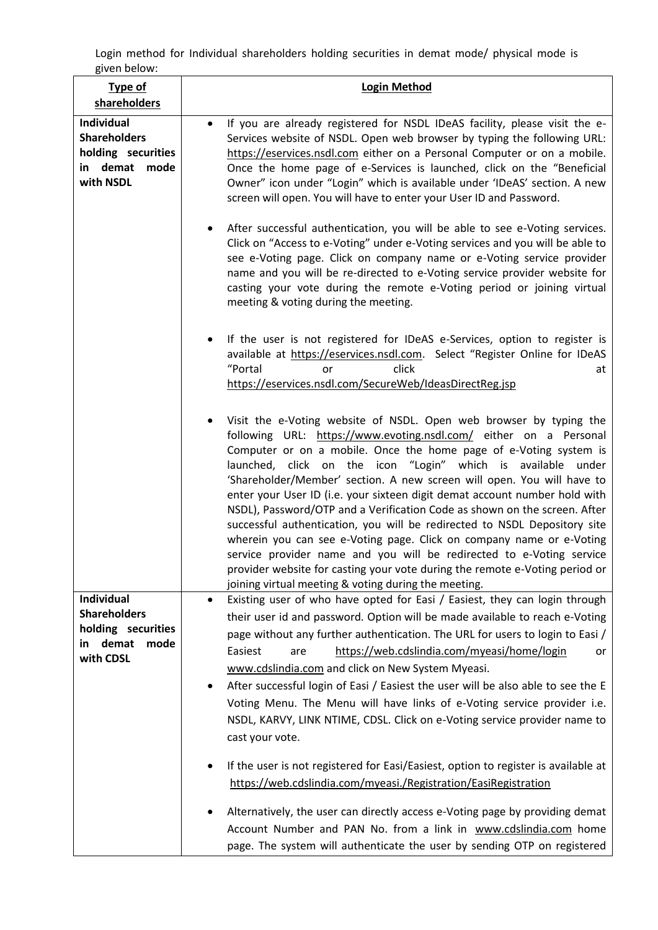Login method for Individual shareholders holding securities in demat mode/ physical mode is given below:

| <b>Type of</b><br>shareholders                                                                  | <b>Login Method</b>                                                                                                                                                                                                                                                                                                                                                                                                                                                                                                                                                                                                                                                                                                                                                                                                                                                                                                                                                                                                                         |  |
|-------------------------------------------------------------------------------------------------|---------------------------------------------------------------------------------------------------------------------------------------------------------------------------------------------------------------------------------------------------------------------------------------------------------------------------------------------------------------------------------------------------------------------------------------------------------------------------------------------------------------------------------------------------------------------------------------------------------------------------------------------------------------------------------------------------------------------------------------------------------------------------------------------------------------------------------------------------------------------------------------------------------------------------------------------------------------------------------------------------------------------------------------------|--|
| <b>Individual</b><br><b>Shareholders</b><br>holding securities<br>in demat<br>mode<br>with NSDL | If you are already registered for NSDL IDeAS facility, please visit the e-<br>Services website of NSDL. Open web browser by typing the following URL:<br>https://eservices.nsdl.com either on a Personal Computer or on a mobile.<br>Once the home page of e-Services is launched, click on the "Beneficial<br>Owner" icon under "Login" which is available under 'IDeAS' section. A new<br>screen will open. You will have to enter your User ID and Password.                                                                                                                                                                                                                                                                                                                                                                                                                                                                                                                                                                             |  |
|                                                                                                 | After successful authentication, you will be able to see e-Voting services.<br>Click on "Access to e-Voting" under e-Voting services and you will be able to<br>see e-Voting page. Click on company name or e-Voting service provider<br>name and you will be re-directed to e-Voting service provider website for<br>casting your vote during the remote e-Voting period or joining virtual<br>meeting & voting during the meeting.                                                                                                                                                                                                                                                                                                                                                                                                                                                                                                                                                                                                        |  |
|                                                                                                 | If the user is not registered for IDeAS e-Services, option to register is<br>available at https://eservices.nsdl.com. Select "Register Online for IDeAS<br>"Portal<br>click<br>or<br>at<br>https://eservices.nsdl.com/SecureWeb/IdeasDirectReg.jsp                                                                                                                                                                                                                                                                                                                                                                                                                                                                                                                                                                                                                                                                                                                                                                                          |  |
|                                                                                                 | Visit the e-Voting website of NSDL. Open web browser by typing the<br>following URL: https://www.evoting.nsdl.com/ either on a Personal<br>Computer or on a mobile. Once the home page of e-Voting system is<br>launched, click on the icon "Login" which is available under<br>'Shareholder/Member' section. A new screen will open. You will have to<br>enter your User ID (i.e. your sixteen digit demat account number hold with<br>NSDL), Password/OTP and a Verification Code as shown on the screen. After<br>successful authentication, you will be redirected to NSDL Depository site<br>wherein you can see e-Voting page. Click on company name or e-Voting<br>service provider name and you will be redirected to e-Voting service<br>provider website for casting your vote during the remote e-Voting period or<br>joining virtual meeting & voting during the meeting.                                                                                                                                                       |  |
| Individual<br><b>Shareholders</b><br>holding securities<br>demat<br>mode<br>in<br>with CDSL     | Existing user of who have opted for Easi / Easiest, they can login through<br>$\bullet$<br>their user id and password. Option will be made available to reach e-Voting<br>page without any further authentication. The URL for users to login to Easi /<br>https://web.cdslindia.com/myeasi/home/login<br>Easiest<br>are<br>or<br>www.cdslindia.com and click on New System Myeasi.<br>After successful login of Easi / Easiest the user will be also able to see the E<br>Voting Menu. The Menu will have links of e-Voting service provider i.e.<br>NSDL, KARVY, LINK NTIME, CDSL. Click on e-Voting service provider name to<br>cast your vote.<br>If the user is not registered for Easi/Easiest, option to register is available at<br>https://web.cdslindia.com/myeasi./Registration/EasiRegistration<br>Alternatively, the user can directly access e-Voting page by providing demat<br>Account Number and PAN No. from a link in www.cdslindia.com home<br>page. The system will authenticate the user by sending OTP on registered |  |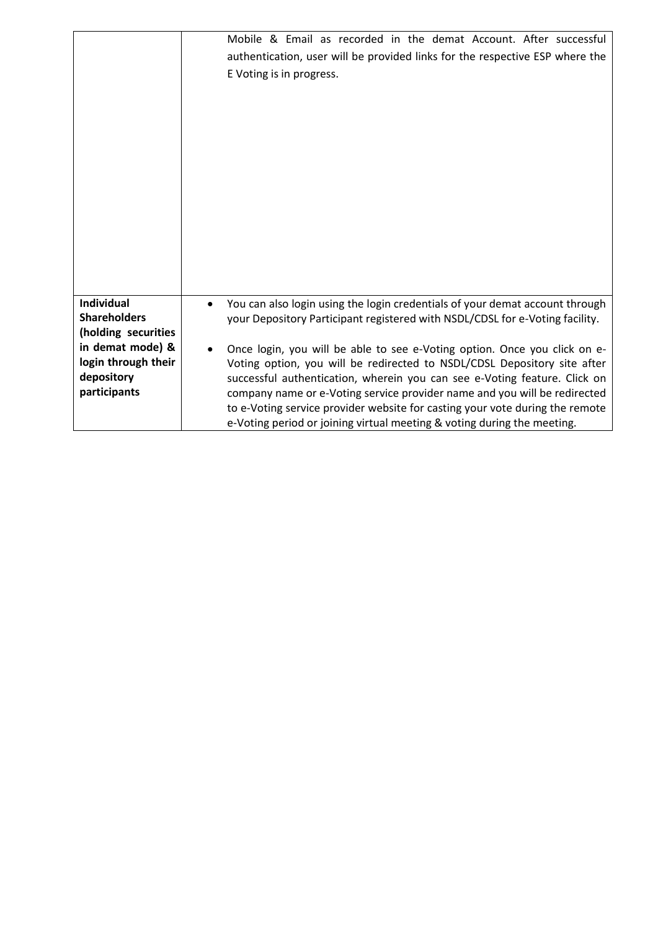|                                                                                                                                          | Mobile & Email as recorded in the demat Account. After successful<br>authentication, user will be provided links for the respective ESP where the<br>E Voting is in progress.                                                                                                                                                                                                                                                                                                                                                                                                                                                                           |
|------------------------------------------------------------------------------------------------------------------------------------------|---------------------------------------------------------------------------------------------------------------------------------------------------------------------------------------------------------------------------------------------------------------------------------------------------------------------------------------------------------------------------------------------------------------------------------------------------------------------------------------------------------------------------------------------------------------------------------------------------------------------------------------------------------|
| <b>Individual</b><br><b>Shareholders</b><br>(holding securities<br>in demat mode) &<br>login through their<br>depository<br>participants | You can also login using the login credentials of your demat account through<br>$\bullet$<br>your Depository Participant registered with NSDL/CDSL for e-Voting facility.<br>Once login, you will be able to see e-Voting option. Once you click on e-<br>Voting option, you will be redirected to NSDL/CDSL Depository site after<br>successful authentication, wherein you can see e-Voting feature. Click on<br>company name or e-Voting service provider name and you will be redirected<br>to e-Voting service provider website for casting your vote during the remote<br>e-Voting period or joining virtual meeting & voting during the meeting. |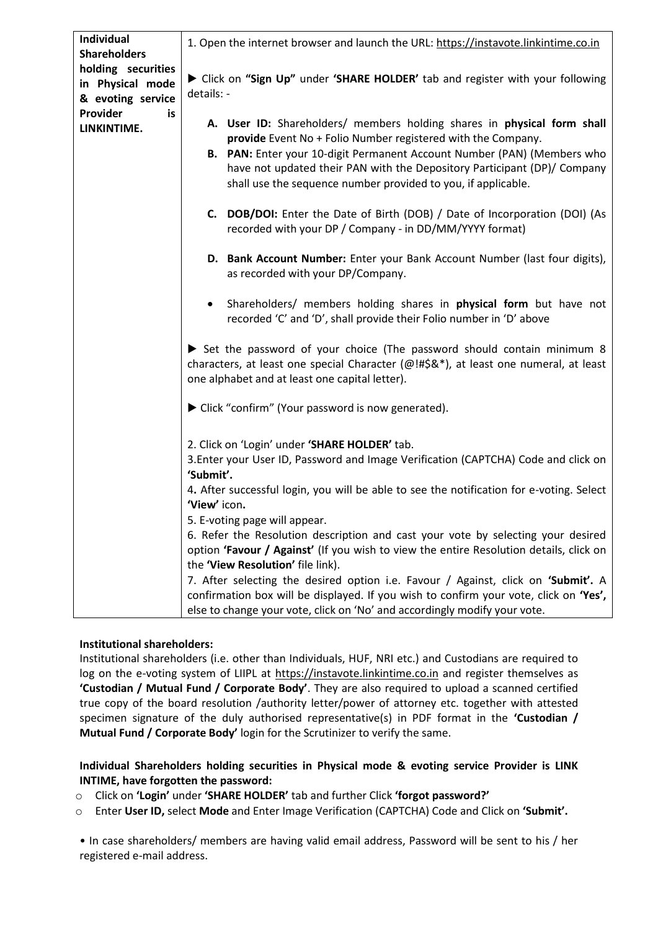| Individual<br><b>Shareholders</b>                           | 1. Open the internet browser and launch the URL: https://instavote.linkintime.co.in                                                                                                                                                                                                                                                                                                                                                                                                                                                     |  |  |
|-------------------------------------------------------------|-----------------------------------------------------------------------------------------------------------------------------------------------------------------------------------------------------------------------------------------------------------------------------------------------------------------------------------------------------------------------------------------------------------------------------------------------------------------------------------------------------------------------------------------|--|--|
| holding securities<br>in Physical mode<br>& evoting service | Click on "Sign Up" under 'SHARE HOLDER' tab and register with your following<br>details: -                                                                                                                                                                                                                                                                                                                                                                                                                                              |  |  |
| Provider<br>is<br>LINKINTIME.                               | A. User ID: Shareholders/ members holding shares in physical form shall<br>provide Event No + Folio Number registered with the Company.<br>B. PAN: Enter your 10-digit Permanent Account Number (PAN) (Members who<br>have not updated their PAN with the Depository Participant (DP)/ Company<br>shall use the sequence number provided to you, if applicable.                                                                                                                                                                         |  |  |
|                                                             | C. DOB/DOI: Enter the Date of Birth (DOB) / Date of Incorporation (DOI) (As<br>recorded with your DP / Company - in DD/MM/YYYY format)                                                                                                                                                                                                                                                                                                                                                                                                  |  |  |
|                                                             | D. Bank Account Number: Enter your Bank Account Number (last four digits),<br>as recorded with your DP/Company.                                                                                                                                                                                                                                                                                                                                                                                                                         |  |  |
|                                                             | Shareholders/ members holding shares in <b>physical form</b> but have not<br>recorded 'C' and 'D', shall provide their Folio number in 'D' above                                                                                                                                                                                                                                                                                                                                                                                        |  |  |
|                                                             | Set the password of your choice (The password should contain minimum 8<br>characters, at least one special Character (@!#\$&*), at least one numeral, at least<br>one alphabet and at least one capital letter).<br>▶ Click "confirm" (Your password is now generated).<br>2. Click on 'Login' under 'SHARE HOLDER' tab.<br>3. Enter your User ID, Password and Image Verification (CAPTCHA) Code and click on<br>'Submit'.<br>4. After successful login, you will be able to see the notification for e-voting. Select<br>'View' icon. |  |  |
|                                                             |                                                                                                                                                                                                                                                                                                                                                                                                                                                                                                                                         |  |  |
|                                                             |                                                                                                                                                                                                                                                                                                                                                                                                                                                                                                                                         |  |  |
|                                                             |                                                                                                                                                                                                                                                                                                                                                                                                                                                                                                                                         |  |  |
|                                                             | 5. E-voting page will appear.<br>6. Refer the Resolution description and cast your vote by selecting your desired<br>option 'Favour / Against' (If you wish to view the entire Resolution details, click on<br>the 'View Resolution' file link).                                                                                                                                                                                                                                                                                        |  |  |
|                                                             | 7. After selecting the desired option i.e. Favour / Against, click on 'Submit'. A<br>confirmation box will be displayed. If you wish to confirm your vote, click on 'Yes',<br>else to change your vote, click on 'No' and accordingly modify your vote.                                                                                                                                                                                                                                                                                 |  |  |

## **Institutional shareholders:**

Institutional shareholders (i.e. other than Individuals, HUF, NRI etc.) and Custodians are required to log on the e-voting system of LIIPL at [https://instavote.linkintime.co.in](https://instavote.linkintime.co.in/) and register themselves as **'Custodian / Mutual Fund / Corporate Body'**. They are also required to upload a scanned certified true copy of the board resolution /authority letter/power of attorney etc. together with attested specimen signature of the duly authorised representative(s) in PDF format in the **'Custodian / Mutual Fund / Corporate Body'** login for the Scrutinizer to verify the same.

## **Individual Shareholders holding securities in Physical mode & evoting service Provider is LINK INTIME, have forgotten the password:**

o Click on **'Login'** under **'SHARE HOLDER'** tab and further Click **'forgot password?'** 

o Enter **User ID,** select **Mode** and Enter Image Verification (CAPTCHA) Code and Click on **'Submit'.** 

• In case shareholders/ members are having valid email address, Password will be sent to his / her registered e-mail address.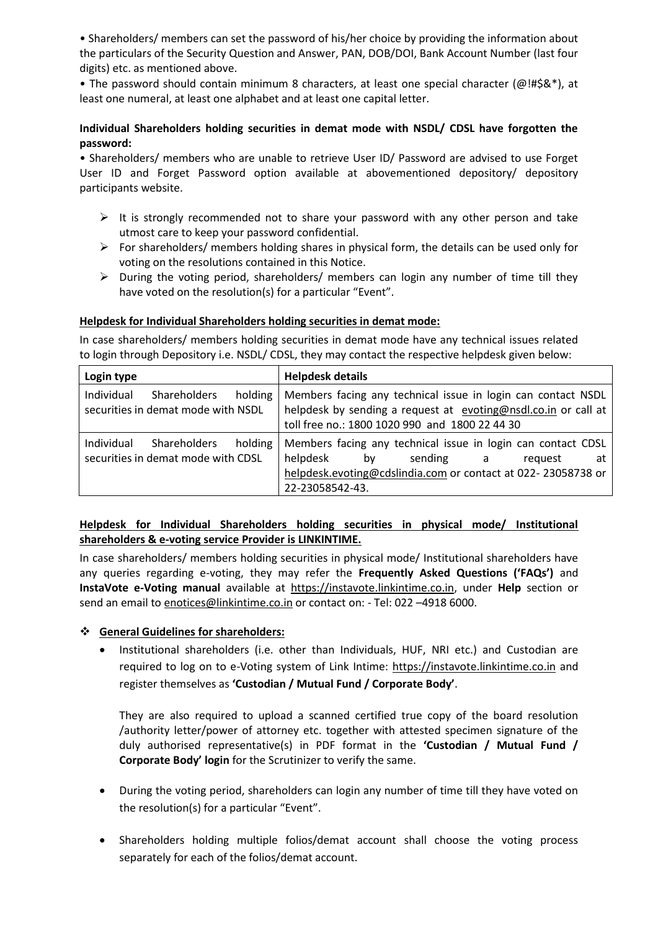• Shareholders/ members can set the password of his/her choice by providing the information about the particulars of the Security Question and Answer, PAN, DOB/DOI, Bank Account Number (last four digits) etc. as mentioned above.

• The password should contain minimum 8 characters, at least one special character (@!#\$&\*), at least one numeral, at least one alphabet and at least one capital letter.

## **Individual Shareholders holding securities in demat mode with NSDL/ CDSL have forgotten the password:**

• Shareholders/ members who are unable to retrieve User ID/ Password are advised to use Forget User ID and Forget Password option available at abovementioned depository/ depository participants website.

- $\triangleright$  It is strongly recommended not to share your password with any other person and take utmost care to keep your password confidential.
- $\triangleright$  For shareholders/ members holding shares in physical form, the details can be used only for voting on the resolutions contained in this Notice.
- $\triangleright$  During the voting period, shareholders/ members can login any number of time till they have voted on the resolution(s) for a particular "Event".

## **Helpdesk for Individual Shareholders holding securities in demat mode:**

In case shareholders/ members holding securities in demat mode have any technical issues related to login through Depository i.e. NSDL/ CDSL, they may contact the respective helpdesk given below:

| Login type                                                                         | <b>Helpdesk details</b>                                                                                                                                                                         |  |  |
|------------------------------------------------------------------------------------|-------------------------------------------------------------------------------------------------------------------------------------------------------------------------------------------------|--|--|
| Individual<br>Shareholders<br>holding<br>securities in demat mode with NSDL        | Members facing any technical issue in login can contact NSDL<br>helpdesk by sending a request at evoting@nsdl.co.in or call at<br>toll free no.: 1800 1020 990 and 1800 22 44 30                |  |  |
| Individual<br><b>Shareholders</b><br>holding<br>securities in demat mode with CDSL | Members facing any technical issue in login can contact CDSL<br>helpdesk<br>sending a<br>bv<br>at<br>reguest<br>helpdesk.evoting@cdslindia.com or contact at 022-23058738 or<br>22-23058542-43. |  |  |

## **Helpdesk for Individual Shareholders holding securities in physical mode/ Institutional shareholders & e-voting service Provider is LINKINTIME.**

In case shareholders/ members holding securities in physical mode/ Institutional shareholders have any queries regarding e-voting, they may refer the **Frequently Asked Questions ('FAQs')** and **InstaVote e-Voting manual** available at [https://instavote.linkintime.co.in,](https://instavote.linkintime.co.in/) under **Help** section or send an email to [enotices@linkintime.co.in](mailto:enotices@linkintime.co.in) or contact on: - Tel: 022 –4918 6000.

## **General Guidelines for shareholders:**

 Institutional shareholders (i.e. other than Individuals, HUF, NRI etc.) and Custodian are required to log on to e-Voting system of Link Intime: [https://instavote.linkintime.co.in](https://instavote.linkintime.co.in/) and register themselves as **'Custodian / Mutual Fund / Corporate Body'**.

They are also required to upload a scanned certified true copy of the board resolution /authority letter/power of attorney etc. together with attested specimen signature of the duly authorised representative(s) in PDF format in the **'Custodian / Mutual Fund / Corporate Body' login** for the Scrutinizer to verify the same.

- During the voting period, shareholders can login any number of time till they have voted on the resolution(s) for a particular "Event".
- Shareholders holding multiple folios/demat account shall choose the voting process separately for each of the folios/demat account.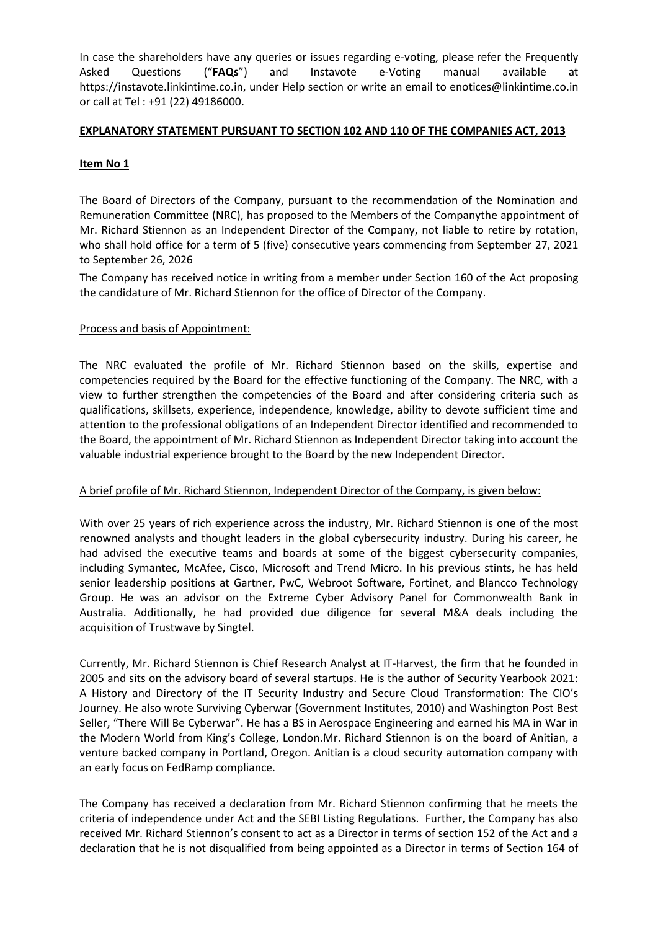In case the shareholders have any queries or issues regarding e-voting, please refer the Frequently Asked Questions ("**FAQs**") and Instavote e-Voting manual available at [https://instavote.linkintime.co.in,](https://instavote.linkintime.co.in/) under Help section or write an email to [enotices@linkintime.co.in](mailto:enotices@linkintime.co.in) or call at Tel : +91 (22) 49186000.

#### **EXPLANATORY STATEMENT PURSUANT TO SECTION 102 AND 110 OF THE COMPANIES ACT, 2013**

### **Item No 1**

The Board of Directors of the Company, pursuant to the recommendation of the Nomination and Remuneration Committee (NRC), has proposed to the Members of the Companythe appointment of Mr. Richard Stiennon as an Independent Director of the Company, not liable to retire by rotation, who shall hold office for a term of 5 (five) consecutive years commencing from September 27, 2021 to September 26, 2026

The Company has received notice in writing from a member under Section 160 of the Act proposing the candidature of Mr. Richard Stiennon for the office of Director of the Company.

#### Process and basis of Appointment:

The NRC evaluated the profile of Mr. Richard Stiennon based on the skills, expertise and competencies required by the Board for the effective functioning of the Company. The NRC, with a view to further strengthen the competencies of the Board and after considering criteria such as qualifications, skillsets, experience, independence, knowledge, ability to devote sufficient time and attention to the professional obligations of an Independent Director identified and recommended to the Board, the appointment of Mr. Richard Stiennon as Independent Director taking into account the valuable industrial experience brought to the Board by the new Independent Director.

#### A brief profile of Mr. Richard Stiennon, Independent Director of the Company, is given below:

With over 25 years of rich experience across the industry, Mr. Richard Stiennon is one of the most renowned analysts and thought leaders in the global cybersecurity industry. During his career, he had advised the executive teams and boards at some of the biggest cybersecurity companies, including Symantec, McAfee, Cisco, Microsoft and Trend Micro. In his previous stints, he has held senior leadership positions at Gartner, PwC, Webroot Software, Fortinet, and Blancco Technology Group. He was an advisor on the Extreme Cyber Advisory Panel for Commonwealth Bank in Australia. Additionally, he had provided due diligence for several M&A deals including the acquisition of Trustwave by Singtel.

Currently, Mr. Richard Stiennon is Chief Research Analyst at IT-Harvest, the firm that he founded in 2005 and sits on the advisory board of several startups. He is the author of Security Yearbook 2021: A History and Directory of the IT Security Industry and Secure Cloud Transformation: The CIO's Journey. He also wrote Surviving Cyberwar (Government Institutes, 2010) and Washington Post Best Seller, "There Will Be Cyberwar". He has a BS in Aerospace Engineering and earned his MA in War in the Modern World from King's College, London.Mr. Richard Stiennon is on the board of Anitian, a venture backed company in Portland, Oregon. Anitian is a cloud security automation company with an early focus on FedRamp compliance.

The Company has received a declaration from Mr. Richard Stiennon confirming that he meets the criteria of independence under Act and the SEBI Listing Regulations. Further, the Company has also received Mr. Richard Stiennon's consent to act as a Director in terms of section 152 of the Act and a declaration that he is not disqualified from being appointed as a Director in terms of Section 164 of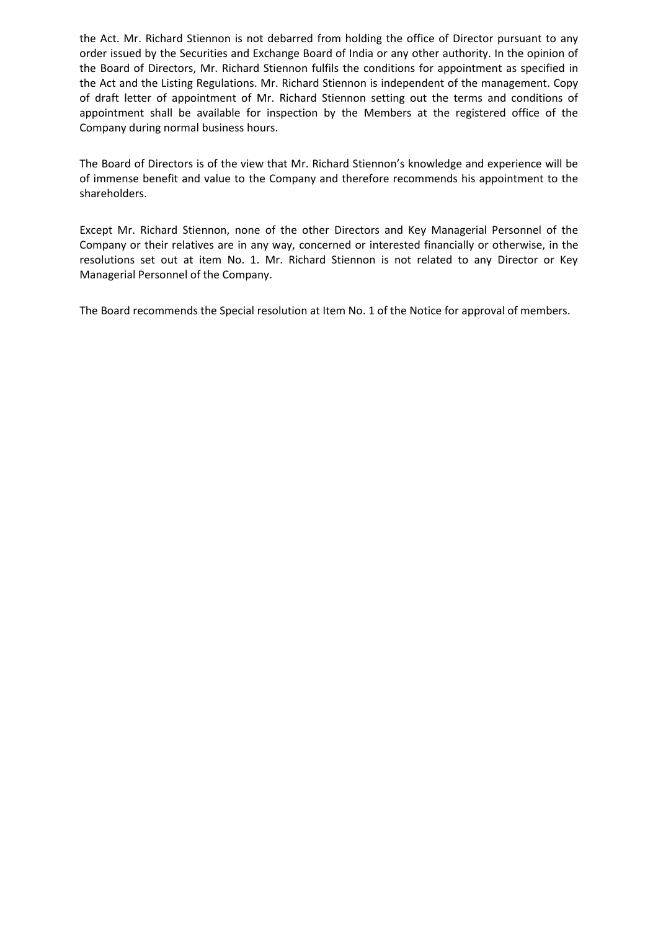the Act. Mr. Richard Stiennon is not debarred from holding the office of Director pursuant to any order issued by the Securities and Exchange Board of India or any other authority. In the opinion of the Board of Directors, Mr. Richard Stiennon fulfils the conditions for appointment as specified in the Act and the Listing Regulations. Mr. Richard Stiennon is independent of the management. Copy of draft letter of appointment of Mr. Richard Stiennon setting out the terms and conditions of appointment shall be available for inspection by the Members at the registered office of the Company during normal business hours.

The Board of Directors is of the view that Mr. Richard Stiennon's knowledge and experience will be of immense benefit and value to the Company and therefore recommends his appointment to the shareholders.

Except Mr. Richard Stiennon, none of the other Directors and Key Managerial Personnel of the Company or their relatives are in any way, concerned or interested financially or otherwise, in the resolutions set out at item No. 1. Mr. Richard Stiennon is not related to any Director or Key Managerial Personnel of the Company.

The Board recommends the Special resolution at Item No. 1 of the Notice for approval of members.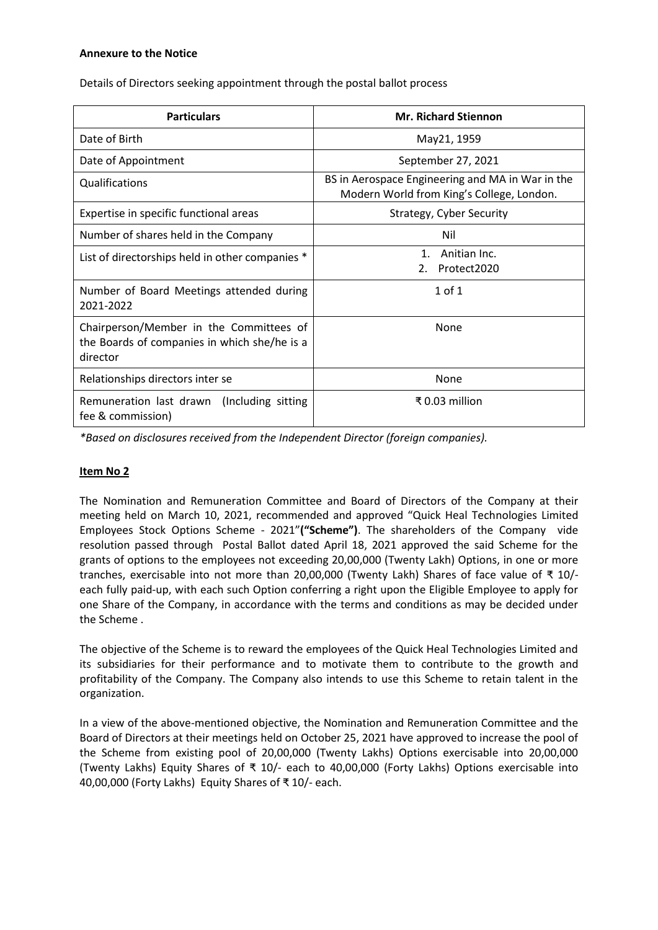#### **Annexure to the Notice**

Details of Directors seeking appointment through the postal ballot process

| <b>Particulars</b>                                                                                  | <b>Mr. Richard Stiennon</b>                                                                   |
|-----------------------------------------------------------------------------------------------------|-----------------------------------------------------------------------------------------------|
| Date of Birth                                                                                       | May21, 1959                                                                                   |
| Date of Appointment                                                                                 | September 27, 2021                                                                            |
| Qualifications                                                                                      | BS in Aerospace Engineering and MA in War in the<br>Modern World from King's College, London. |
| Expertise in specific functional areas                                                              | Strategy, Cyber Security                                                                      |
| Number of shares held in the Company                                                                | Nil                                                                                           |
| List of directorships held in other companies *                                                     | Anitian Inc.<br>1 <sup>1</sup><br>Protect2020<br>2.                                           |
| Number of Board Meetings attended during<br>2021-2022                                               | $1$ of $1$                                                                                    |
| Chairperson/Member in the Committees of<br>the Boards of companies in which she/he is a<br>director | <b>None</b>                                                                                   |
| Relationships directors inter se                                                                    | None                                                                                          |
| Remuneration last drawn (Including sitting<br>fee & commission)                                     | ₹0.03 million                                                                                 |

*\*Based on disclosures received from the Independent Director (foreign companies).*

#### **Item No 2**

The Nomination and Remuneration Committee and Board of Directors of the Company at their meeting held on March 10, 2021, recommended and approved "Quick Heal Technologies Limited Employees Stock Options Scheme - 2021"**("Scheme")**. The shareholders of the Company vide resolution passed through Postal Ballot dated April 18, 2021 approved the said Scheme for the grants of options to the employees not exceeding 20,00,000 (Twenty Lakh) Options, in one or more tranches, exercisable into not more than 20,00,000 (Twenty Lakh) Shares of face value of ₹ 10/ each fully paid-up, with each such Option conferring a right upon the Eligible Employee to apply for one Share of the Company, in accordance with the terms and conditions as may be decided under the Scheme .

The objective of the Scheme is to reward the employees of the Quick Heal Technologies Limited and its subsidiaries for their performance and to motivate them to contribute to the growth and profitability of the Company. The Company also intends to use this Scheme to retain talent in the organization.

In a view of the above-mentioned objective, the Nomination and Remuneration Committee and the Board of Directors at their meetings held on October 25, 2021 have approved to increase the pool of the Scheme from existing pool of 20,00,000 (Twenty Lakhs) Options exercisable into 20,00,000 (Twenty Lakhs) Equity Shares of ₹ 10/- each to 40,00,000 (Forty Lakhs) Options exercisable into 40,00,000 (Forty Lakhs) Equity Shares of ₹ 10/- each.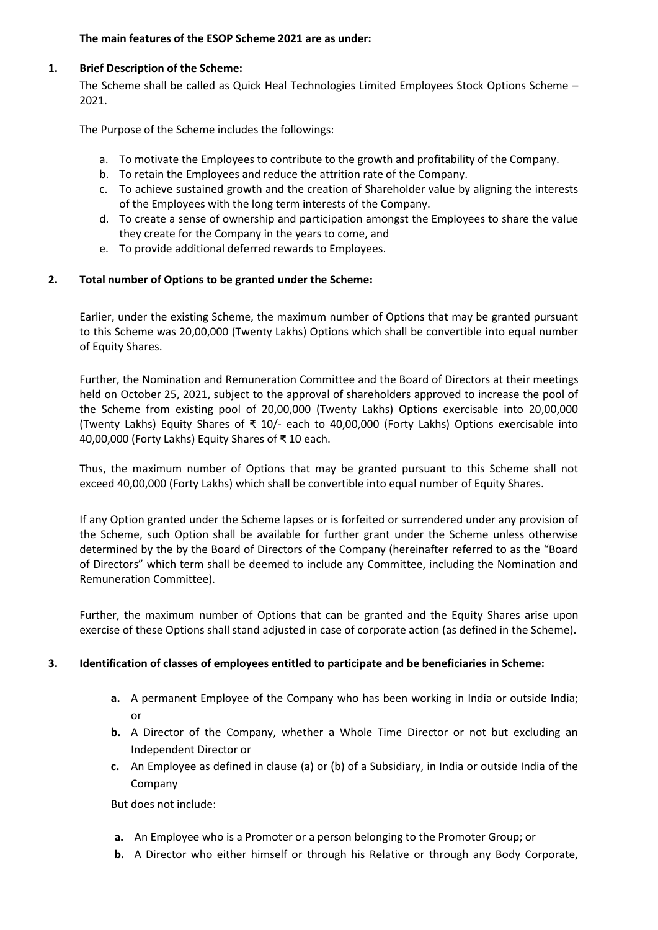#### **The main features of the ESOP Scheme 2021 are as under:**

#### **1. Brief Description of the Scheme:**

The Scheme shall be called as Quick Heal Technologies Limited Employees Stock Options Scheme – 2021.

The Purpose of the Scheme includes the followings:

- a. To motivate the Employees to contribute to the growth and profitability of the Company.
- b. To retain the Employees and reduce the attrition rate of the Company.
- c. To achieve sustained growth and the creation of Shareholder value by aligning the interests of the Employees with the long term interests of the Company.
- d. To create a sense of ownership and participation amongst the Employees to share the value they create for the Company in the years to come, and
- e. To provide additional deferred rewards to Employees.

## **2. Total number of Options to be granted under the Scheme:**

Earlier, under the existing Scheme, the maximum number of Options that may be granted pursuant to this Scheme was 20,00,000 (Twenty Lakhs) Options which shall be convertible into equal number of Equity Shares.

Further, the Nomination and Remuneration Committee and the Board of Directors at their meetings held on October 25, 2021, subject to the approval of shareholders approved to increase the pool of the Scheme from existing pool of 20,00,000 (Twenty Lakhs) Options exercisable into 20,00,000 (Twenty Lakhs) Equity Shares of ₹ 10/- each to 40,00,000 (Forty Lakhs) Options exercisable into 40,00,000 (Forty Lakhs) Equity Shares of ₹ 10 each.

Thus, the maximum number of Options that may be granted pursuant to this Scheme shall not exceed 40,00,000 (Forty Lakhs) which shall be convertible into equal number of Equity Shares.

If any Option granted under the Scheme lapses or is forfeited or surrendered under any provision of the Scheme, such Option shall be available for further grant under the Scheme unless otherwise determined by the by the Board of Directors of the Company (hereinafter referred to as the "Board of Directors" which term shall be deemed to include any Committee, including the Nomination and Remuneration Committee).

Further, the maximum number of Options that can be granted and the Equity Shares arise upon exercise of these Options shall stand adjusted in case of corporate action (as defined in the Scheme).

## **3. Identification of classes of employees entitled to participate and be beneficiaries in Scheme:**

- **a.** A permanent Employee of the Company who has been working in India or outside India; or
- **b.** A Director of the Company, whether a Whole Time Director or not but excluding an Independent Director or
- **c.** An Employee as defined in clause (a) or (b) of a Subsidiary, in India or outside India of the Company

But does not include:

- **a.** An Employee who is a Promoter or a person belonging to the Promoter Group; or
- **b.** A Director who either himself or through his Relative or through any Body Corporate,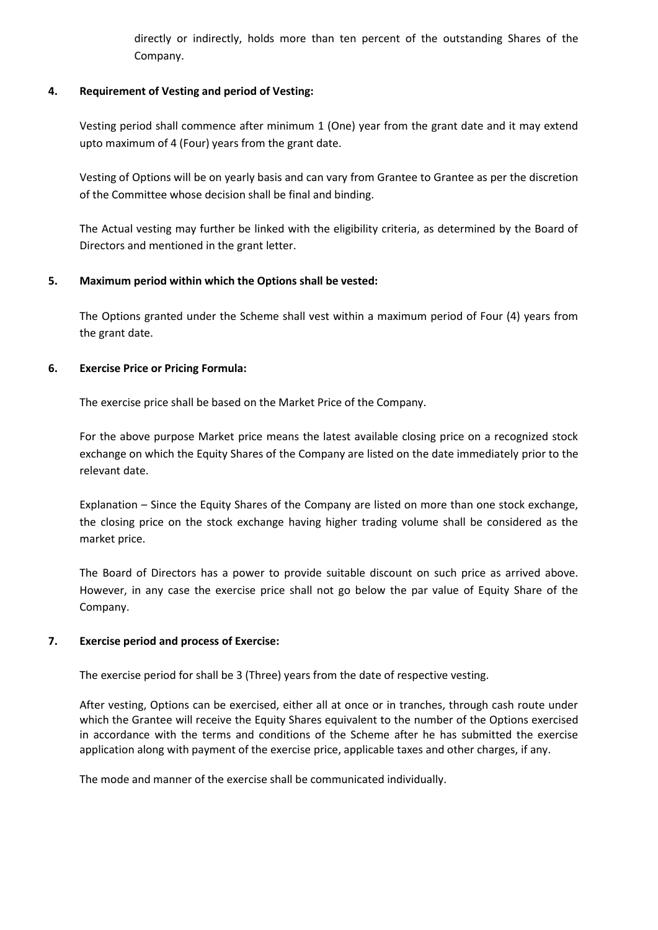directly or indirectly, holds more than ten percent of the outstanding Shares of the Company.

#### **4. Requirement of Vesting and period of Vesting:**

Vesting period shall commence after minimum 1 (One) year from the grant date and it may extend upto maximum of 4 (Four) years from the grant date.

Vesting of Options will be on yearly basis and can vary from Grantee to Grantee as per the discretion of the Committee whose decision shall be final and binding.

The Actual vesting may further be linked with the eligibility criteria, as determined by the Board of Directors and mentioned in the grant letter.

#### **5. Maximum period within which the Options shall be vested:**

The Options granted under the Scheme shall vest within a maximum period of Four (4) years from the grant date.

#### **6. Exercise Price or Pricing Formula:**

The exercise price shall be based on the Market Price of the Company.

For the above purpose Market price means the latest available closing price on a recognized stock exchange on which the Equity Shares of the Company are listed on the date immediately prior to the relevant date.

Explanation – Since the Equity Shares of the Company are listed on more than one stock exchange, the closing price on the stock exchange having higher trading volume shall be considered as the market price.

The Board of Directors has a power to provide suitable discount on such price as arrived above. However, in any case the exercise price shall not go below the par value of Equity Share of the Company.

## **7. Exercise period and process of Exercise:**

The exercise period for shall be 3 (Three) years from the date of respective vesting.

After vesting, Options can be exercised, either all at once or in tranches, through cash route under which the Grantee will receive the Equity Shares equivalent to the number of the Options exercised in accordance with the terms and conditions of the Scheme after he has submitted the exercise application along with payment of the exercise price, applicable taxes and other charges, if any.

The mode and manner of the exercise shall be communicated individually.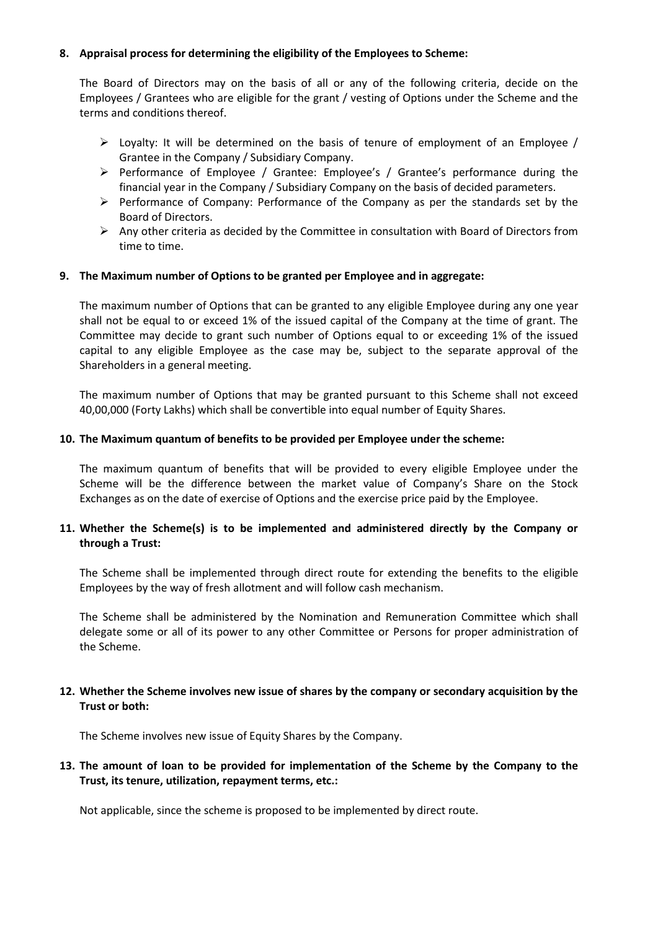#### **8. Appraisal process for determining the eligibility of the Employees to Scheme:**

The Board of Directors may on the basis of all or any of the following criteria, decide on the Employees / Grantees who are eligible for the grant / vesting of Options under the Scheme and the terms and conditions thereof.

- $\triangleright$  Loyalty: It will be determined on the basis of tenure of employment of an Employee / Grantee in the Company / Subsidiary Company.
- $\triangleright$  Performance of Employee / Grantee: Employee's / Grantee's performance during the financial year in the Company / Subsidiary Company on the basis of decided parameters.
- $\triangleright$  Performance of Company: Performance of the Company as per the standards set by the Board of Directors.
- $\triangleright$  Any other criteria as decided by the Committee in consultation with Board of Directors from time to time.

#### **9. The Maximum number of Options to be granted per Employee and in aggregate:**

The maximum number of Options that can be granted to any eligible Employee during any one year shall not be equal to or exceed 1% of the issued capital of the Company at the time of grant. The Committee may decide to grant such number of Options equal to or exceeding 1% of the issued capital to any eligible Employee as the case may be, subject to the separate approval of the Shareholders in a general meeting.

The maximum number of Options that may be granted pursuant to this Scheme shall not exceed 40,00,000 (Forty Lakhs) which shall be convertible into equal number of Equity Shares.

#### **10. The Maximum quantum of benefits to be provided per Employee under the scheme:**

The maximum quantum of benefits that will be provided to every eligible Employee under the Scheme will be the difference between the market value of Company's Share on the Stock Exchanges as on the date of exercise of Options and the exercise price paid by the Employee.

#### **11. Whether the Scheme(s) is to be implemented and administered directly by the Company or through a Trust:**

The Scheme shall be implemented through direct route for extending the benefits to the eligible Employees by the way of fresh allotment and will follow cash mechanism.

The Scheme shall be administered by the Nomination and Remuneration Committee which shall delegate some or all of its power to any other Committee or Persons for proper administration of the Scheme.

#### **12. Whether the Scheme involves new issue of shares by the company or secondary acquisition by the Trust or both:**

The Scheme involves new issue of Equity Shares by the Company.

#### **13. The amount of loan to be provided for implementation of the Scheme by the Company to the Trust, its tenure, utilization, repayment terms, etc.:**

Not applicable, since the scheme is proposed to be implemented by direct route.